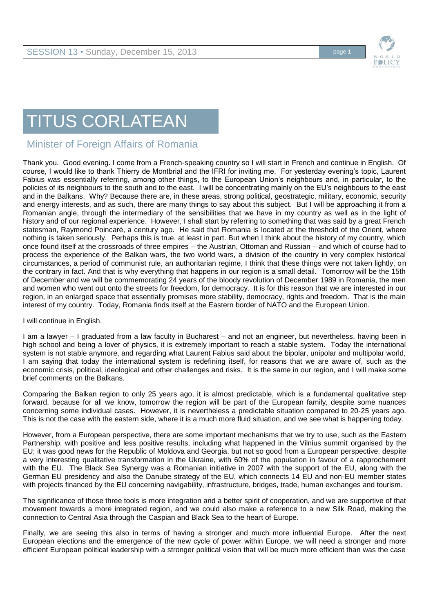

## TITUS CORLATEAN

## Minister of Foreign Affairs of Romania

Thank you. Good evening. I come from a French-speaking country so I will start in French and continue in English. Of course, I would like to thank Thierry de Montbrial and the IFRI for inviting me. For yesterday evening's topic, Laurent Fabius was essentially referring, among other things, to the European Union's neighbours and, in particular, to the policies of its neighbours to the south and to the east. I will be concentrating mainly on the EU's neighbours to the east and in the Balkans. Why? Because there are, in these areas, strong political, geostrategic, military, economic, security and energy interests, and as such, there are many things to say about this subject. But I will be approaching it from a Romanian angle, through the intermediary of the sensibilities that we have in my country as well as in the light of history and of our regional experience. However, I shall start by referring to something that was said by a great French statesman, Raymond Poincaré, a century ago. He said that Romania is located at the threshold of the Orient, where nothing is taken seriously. Perhaps this is true, at least in part. But when I think about the history of my country, which once found itself at the crossroads of three empires – the Austrian, Ottoman and Russian – and which of course had to process the experience of the Balkan wars, the two world wars, a division of the country in very complex historical circumstances, a period of communist rule, an authoritarian regime, I think that these things were not taken lightly, on the contrary in fact. And that is why everything that happens in our region is a small detail. Tomorrow will be the 15th of December and we will be commemorating 24 years of the bloody revolution of December 1989 in Romania, the men and women who went out onto the streets for freedom, for democracy. It is for this reason that we are interested in our region, in an enlarged space that essentially promises more stability, democracy, rights and freedom. That is the main interest of my country. Today, Romania finds itself at the Eastern border of NATO and the European Union.

I will continue in English.

I am a lawyer – I graduated from a law faculty in Bucharest – and not an engineer, but nevertheless, having been in high school and being a lover of physics, it is extremely important to reach a stable system. Today the international system is not stable anymore, and regarding what Laurent Fabius said about the bipolar, unipolar and multipolar world, I am saying that today the international system is redefining itself, for reasons that we are aware of, such as the economic crisis, political, ideological and other challenges and risks. It is the same in our region, and I will make some brief comments on the Balkans.

Comparing the Balkan region to only 25 years ago, it is almost predictable, which is a fundamental qualitative step forward, because for all we know, tomorrow the region will be part of the European family, despite some nuances concerning some individual cases. However, it is nevertheless a predictable situation compared to 20-25 years ago. This is not the case with the eastern side, where it is a much more fluid situation, and we see what is happening today.

However, from a European perspective, there are some important mechanisms that we try to use, such as the Eastern Partnership, with positive and less positive results, including what happened in the Vilnius summit organised by the EU; it was good news for the Republic of Moldova and Georgia, but not so good from a European perspective, despite a very interesting qualitative transformation in the Ukraine, with 60% of the population in favour of a rapprochement with the EU. The Black Sea Synergy was a Romanian initiative in 2007 with the support of the EU, along with the German EU presidency and also the Danube strategy of the EU, which connects 14 EU and non-EU member states with projects financed by the EU concerning navigability, infrastructure, bridges, trade, human exchanges and tourism.

The significance of those three tools is more integration and a better spirit of cooperation, and we are supportive of that movement towards a more integrated region, and we could also make a reference to a new Silk Road, making the connection to Central Asia through the Caspian and Black Sea to the heart of Europe.

Finally, we are seeing this also in terms of having a stronger and much more influential Europe. After the next European elections and the emergence of the new cycle of power within Europe, we will need a stronger and more efficient European political leadership with a stronger political vision that will be much more efficient than was the case